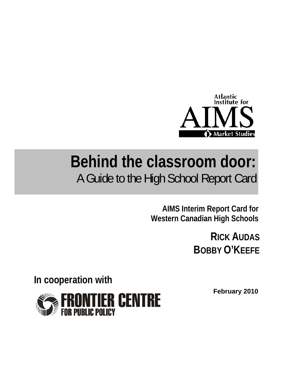

# **Behind the classroom door:** A Guide to the High School Report Card

**AIMS Interim Report Card for Western Canadian High Schools**

> **RICK AUDAS BOBBY O'KEEFE**

**In cooperation with** 

IER CENTRE

**February 2010**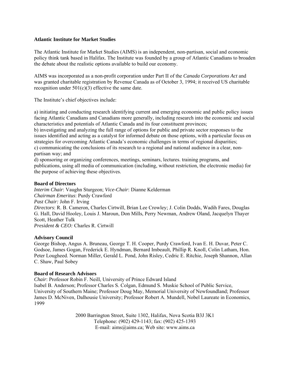#### **Atlantic Institute for Market Studies**

The Atlantic Institute for Market Studies (AIMS) is an independent, non-partisan, social and economic policy think tank based in Halifax. The Institute was founded by a group of Atlantic Canadians to broaden the debate about the realistic options available to build our economy.

AIMS was incorporated as a non-profit corporation under Part II of the *Canada Corporations Act* and was granted charitable registration by Revenue Canada as of October 3, 1994; it received US charitable recognition under  $501(c)(3)$  effective the same date.

The Institute's chief objectives include:

a) initiating and conducting research identifying current and emerging economic and public policy issues facing Atlantic Canadians and Canadians more generally, including research into the economic and social characteristics and potentials of Atlantic Canada and its four constituent provinces;

b) investigating and analyzing the full range of options for public and private sector responses to the issues identified and acting as a catalyst for informed debate on those options, with a particular focus on strategies for overcoming Atlantic Canada's economic challenges in terms of regional disparities; c) communicating the conclusions of its research to a regional and national audience in a clear, nonpartisan way; and

d) sponsoring or organizing conferences, meetings, seminars, lectures. training programs, and publications, using all media of communication (including, without restriction, the electronic media) for the purpose of achieving these objectives.

#### **Board of Directors**

*Interim Chair*: Vaughn Sturgeon; *Vice-Chair*: Dianne Kelderman *Chairman Emeritus*: Purdy Crawford *Past Chair:* John F. Irving *Directors*: R. B. Cameron, Charles Cirtwill, Brian Lee Crowley; J. Colin Dodds, Wadih Fares, Douglas G. Hall, David Hooley, Louis J. Maroun, Don Mills, Perry Newman, Andrew Oland, Jacquelyn Thayer Scott, Heather Tulk *President & CEO:* Charles R. Cirtwill

#### **Advisory Council**

George Bishop, Angus A. Bruneau, George T. H. Cooper, Purdy Crawford, Ivan E. H. Duvar, Peter C. Godsoe, James Gogan, Frederick E. Hyndman, Bernard Imbeault, Phillip R. Knoll, Colin Latham, Hon. Peter Lougheed. Norman Miller, Gerald L. Pond, John Risley, Cedric E. Ritchie, Joseph Shannon, Allan C. Shaw, Paul Sobey

#### **Board of Research Advisors**

*Chair*: Professor Robin F. Neill, University of Prince Edward Island Isabel B. Anderson; Professor Charles S. Colgan, Edmund S. Muskie School of Public Service, University of Southern Maine; Professor Doug May, Memorial University of Newfoundland; Professor James D. McNiven, Dalhousie University; Professor Robert A. Mundell, Nobel Laureate in Economics, 1999

> 2000 Barrington Street, Suite 1302, Halifax, Nova Scotia B3J 3K1 Telephone: (902) 429-1143; fax: (902) 425-1393 E-mail: aims@aims.ca; Web site: www.aims.ca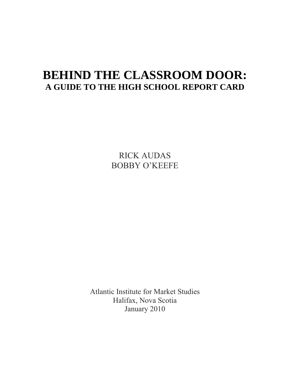## **BEHIND THE CLASSROOM DOOR: A GUIDE TO THE HIGH SCHOOL REPORT CARD**

RICK AUDAS BOBBY O'KEEFE

Atlantic Institute for Market Studies Halifax, Nova Scotia January 2010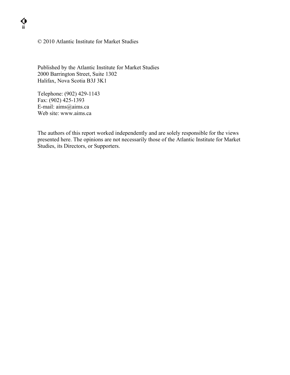### © 2010 Atlantic Institute for Market Studies

Published by the Atlantic Institute for Market Studies 2000 Barrington Street, Suite 1302 Halifax, Nova Scotia B3J 3K1

Telephone: (902) 429-1143 Fax: (902) 425-1393 E-mail: aims@aims.ca Web site: www.aims.ca

**ii** 

The authors of this report worked independently and are solely responsible for the views presented here. The opinions are not necessarily those of the Atlantic Institute for Market Studies, its Directors, or Supporters.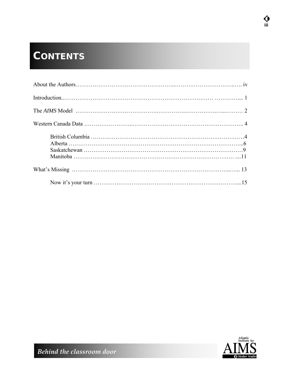## **CONTENTS**

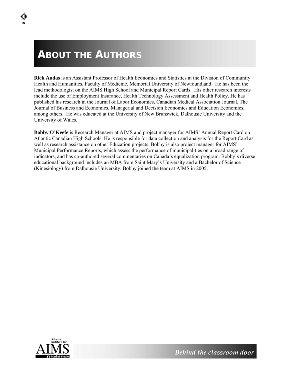## **ABOUT THE AUTHORS**

**Rick Audas** is an Assistant Professor of Health Economics and Statistics at the Division of Community Health and Humanities, Faculty of Medicine, Memorial University of Newfoundland. He has been the lead methodologist on the AIMS High School and Municipal Report Cards. His other research interests include the use of Employment Insurance, Health Technology Assessment and Health Policy. He has published his research in the Journal of Labor Economics, Canadian Medical Association Journal, The Journal of Business and Economics, Managerial and Decision Economics and Education Economics, among others. He was educated at the University of New Brunswick, Dalhousie University and the University of Wales.

**Bobby O'Keefe** is Research Manager at AIMS and project manager for AIMS' Annual Report Card on Atlantic Canadian High Schools. He is responsible for data collection and analysis for the Report Card as well as research assistance on other Education projects. Bobby is also project manager for AIMS' Municipal Performance Reports, which assess the performance of municipalities on a broad range of indicators, and has co-authored several commentaries on Canada's equalization program. Bobby's diverse educational background includes an MBA from Saint Mary's University and a Bachelor of Science (Kinesiology) from Dalhousie University. Bobby joined the team at AIMS in 2005.

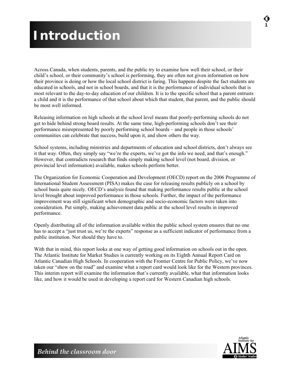l.

Across Canada, when students, parents, and the public try to examine how well their school, or their child's school, or their community's school is performing, they are often not given information on how their province is doing or how the local school district is faring. This happens despite the fact students are educated in schools, and not in school boards, and that it is the performance of individual schools that is most relevant to the day-to-day education of our children. It is to the specific school that a parent entrusts a child and it is the performance of that school about which that student, that parent, and the public should be most well informed.

Releasing information on high schools at the school level means that poorly-performing schools do not get to hide behind strong board results. At the same time, high-performing schools don't see their performance misrepresented by poorly performing school boards – and people in those schools' communities can celebrate that success, build upon it, and show others the way.

School systems, including ministries and departments of education and school districts, don't always see it that way. Often, they simply say "we're the experts, we've got the info we need, and that's enough." However, that contradicts research that finds simply making school level (not board, division, or provincial level information) available, makes schools perform better.

The Organization for Economic Cooperation and Development (OECD) report on the 2006 Programme of International Student Assessment (PISA) makes the case for releasing results publicly on a school by school basis quite nicely. OECD's analysis found that making performance results public at the school level brought about improved performance in those schools. Further, the impact of the performance improvement was still significant when demographic and socio-economic factors were taken into consideration. Put simply, making achievement data public at the school level results in improved performance.

Openly distributing all of the information available within the public school system ensures that no one has to accept a "just trust us, we're the experts" response as a sufficient indicator of performance from a public institution. Nor should they have to.

With that in mind, this report looks at one way of getting good information on schools out in the open. The Atlantic Institute for Market Studies is currently working on its Eighth Annual Report Card on Atlantic Canadian High Schools. In cooperation with the Frontier Centre for Public Policy, we've now taken our "show on the road" and examine what a report card would look like for the Western provinces. This interim report will examine the information that's currently available, what that information looks like, and how it would be used in developing a report card for Western Canadian high schools.



**1**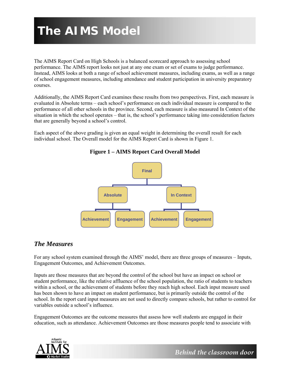The AIMS Report Card on High Schools is a balanced scorecard approach to assessing school performance. The AIMS report looks not just at any one exam or set of exams to judge performance. Instead, AIMS looks at both a range of school achievement measures, including exams, as well as a range of school engagement measures, including attendance and student participation in university preparatory courses.

Additionally, the AIMS Report Card examines these results from two perspectives. First, each measure is evaluated in Absolute terms – each school's performance on each individual measure is compared to the performance of all other schools in the province. Second, each measure is also measured In Context of the situation in which the school operates – that is, the school's performance taking into consideration factors that are generally beyond a school's control.

Each aspect of the above grading is given an equal weight in determining the overall result for each individual school. The Overall model for the AIMS Report Card is shown in Figure 1.



**Figure 1 – AIMS Report Card Overall Model** 

## *The Measures*

For any school system examined through the AIMS' model, there are three groups of measures – Inputs, Engagement Outcomes, and Achievement Outcomes.

Inputs are those measures that are beyond the control of the school but have an impact on school or student performance, like the relative affluence of the school population, the ratio of students to teachers within a school, or the achievement of students before they reach high school. Each input measure used has been shown to have an impact on student performance, but is primarily outside the control of the school. In the report card input measures are not used to directly compare schools, but rather to control for variables outside a school's influence.

Engagement Outcomes are the outcome measures that assess how well students are engaged in their education, such as attendance. Achievement Outcomes are those measures people tend to associate with

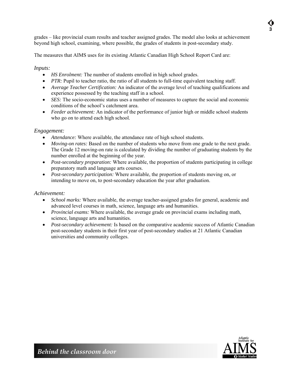grades – like provincial exam results and teacher assigned grades. The model also looks at achievement beyond high school, examining, where possible, the grades of students in post-secondary study.

The measures that AIMS uses for its existing Atlantic Canadian High School Report Card are:

#### *Inputs:*

- *HS Enrolment:* The number of students enrolled in high school grades.
- *PTR:* Pupil to teacher ratio, the ratio of all students to full-time equivalent teaching staff.
- *Average Teacher Certification:* An indicator of the average level of teaching qualifications and experience possessed by the teaching staff in a school.
- *SES*: The socio-economic status uses a number of measures to capture the social and economic conditions of the school's catchment area.
- *Feeder achievement:* An indicator of the performance of junior high or middle school students who go on to attend each high school.

#### *Engagement:*

- *Attendance:* Where available, the attendance rate of high school students.
- *Moving-on rates:* Based on the number of students who move from one grade to the next grade. The Grade 12 moving-on rate is calculated by dividing the number of graduating students by the number enrolled at the beginning of the year.
- *Post-secondary preparation:* Where available, the proportion of students participating in college preparatory math and language arts courses.
- *Post-secondary participation:* Where available, the proportion of students moving on, or intending to move on, to post-secondary education the year after graduation.

#### *Achievement:*

- *School marks:* Where available, the average teacher-assigned grades for general, academic and advanced level courses in math, science, language arts and humanities.
- *Provincial exams:* Where available, the average grade on provincial exams including math, science, language arts and humanities.
- *Post-secondary achievement:* Is based on the comparative academic success of Atlantic Canadian post-secondary students in their first year of post-secondary studies at 21 Atlantic Canadian universities and community colleges.

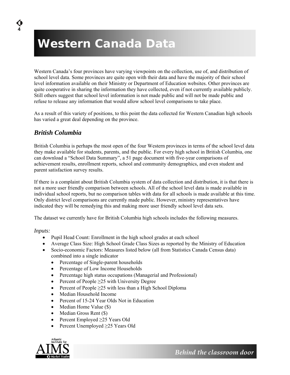## **Western Canada Data**

Western Canada's four provinces have varying viewpoints on the collection, use of, and distribution of school level data. Some provinces are quite open with their data and have the majority of their school level information available on their Ministry or Department of Education websites. Other provinces are quite cooperative in sharing the information they have collected, even if not currently available publicly. Still others suggest that school level information is not made public and will not be made public and refuse to release any information that would allow school level comparisons to take place.

As a result of this variety of positions, to this point the data collected for Western Canadian high schools has varied a great deal depending on the province.

## *British Columbia*

British Columbia is perhaps the most open of the four Western provinces in terms of the school level data they make available for students, parents, and the public. For every high school in British Columbia, one can download a "School Data Summary", a 51 page document with five-year comparisons of achievement results, enrollment reports, school and community demographics, and even student and parent satisfaction survey results.

If there is a complaint about British Columbia system of data collection and distribution, it is that there is not a more user friendly comparison between schools. All of the school level data is made available in individual school reports, but no comparison tables with data for all schools is made available at this time. Only district level comparisons are currently made public. However, ministry representatives have indicated they will be remedying this and making more user friendly school level data sets.

The dataset we currently have for British Columbia high schools includes the following measures.

## *Inputs:*

- Pupil Head Count: Enrollment in the high school grades at each school
- Average Class Size: High School Grade Class Sizes as reported by the Ministry of Education
- Socio-economic Factors: Measures listed below (all from Statistics Canada Census data) combined into a single indicator
	- Percentage of Single-parent households
	- Percentage of Low Income Households
	- Percentage high status occupations (Managerial and Professional)
	- Percent of People  $\geq$ 25 with University Degree
	- Percent of People > 25 with less than a High School Diploma
	- Median Household Income
	- Percent of 15-24 Year Olds Not in Education
	- Median Home Value (\$)
	- Median Gross Rent (\$)
	- Percent Employed ≥25 Years Old
	- Percent Unemployed ≥25 Years Old

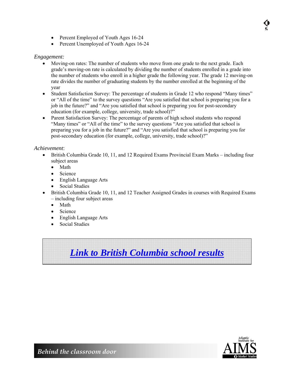- Percent Employed of Youth Ages 16-24
- Percent Unemployed of Youth Ages 16-24

## *Engagement:*

- Moving-on rates: The number of students who move from one grade to the next grade. Each grade's moving-on rate is calculated by dividing the number of students enrolled in a grade into the number of students who enroll in a higher grade the following year. The grade 12 moving-on rate divides the number of graduating students by the number enrolled at the beginning of the year
- Student Satisfaction Survey: The percentage of students in Grade 12 who respond "Many times" or "All of the time" to the survey questions "Are you satisfied that school is preparing you for a job in the future?" and "Are you satisfied that school is preparing you for post-secondary education (for example, college, university, trade school)?"
- Parent Satisfaction Survey: The percentage of parents of high school students who respond "Many times" or "All of the time" to the survey questions "Are you satisfied that school is preparing you for a job in the future?" and "Are you satisfied that school is preparing you for post-secondary education (for example, college, university, trade school)?"

## *Achievement*:

- British Columbia Grade 10, 11, and 12 Required Exams Provincial Exam Marks including four subject areas
	- Math
	- Science
	- English Language Arts
	- Social Studies
- British Columbia Grade 10, 11, and 12 Teacher Assigned Grades in courses with Required Exams – including four subject areas
	- Math
	- Science
	- English Language Arts
	- Social Studies





**5**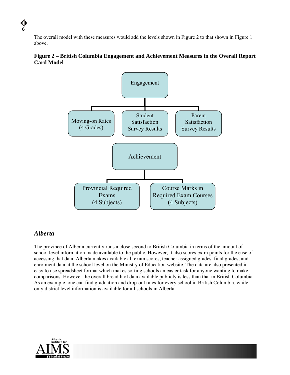## **6**

The overall model with these measures would add the levels shown in Figure 2 to that shown in Figure 1 above.

## **Figure 2 – British Columbia Engagement and Achievement Measures in the Overall Report Card Model**



## *Alberta*

The province of Alberta currently runs a close second to British Columbia in terms of the amount of school level information made available to the public. However, it also scores extra points for the ease of accessing that data. Alberta makes available all exam scores, teacher assigned grades, final grades, and enrolment data at the school level on the Ministry of Education website. The data are also presented in easy to use spreadsheet format which makes sorting schools an easier task for anyone wanting to make comparisons. However the overall breadth of data available publicly is less than that in British Columbia. As an example, one can find graduation and drop-out rates for every school in British Columbia, while only district level information is available for all schools in Alberta.

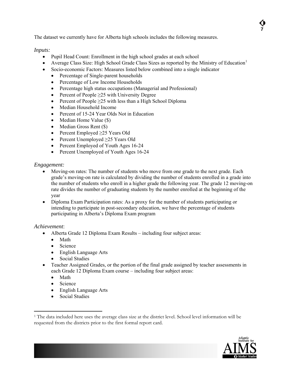The dataset we currently have for Alberta high schools includes the following measures.

### *Inputs:*

- Pupil Head Count: Enrollment in the high school grades at each school
- Average Class Size: High School Grade Class Sizes as reported by the Ministry of Education<sup>[1](#page-12-0)</sup>
- Socio-economic Factors: Measures listed below combined into a single indicator
	- Percentage of Single-parent households
	- Percentage of Low Income Households
	- Percentage high status occupations (Managerial and Professional)
	- Percent of People  $\geq$ 25 with University Degree
	- Percent of People  $\geq$  25 with less than a High School Diploma
	- Median Household Income
	- Percent of 15-24 Year Olds Not in Education
	- Median Home Value (\$)
	- Median Gross Rent (\$)
	- Percent Employed ≥25 Years Old
	- Percent Unemployed ≥25 Years Old
	- Percent Employed of Youth Ages 16-24
	- Percent Unemployed of Youth Ages 16-24

## *Engagement:*

- Moving-on rates: The number of students who move from one grade to the next grade. Each grade's moving-on rate is calculated by dividing the number of students enrolled in a grade into the number of students who enroll in a higher grade the following year. The grade 12 moving-on rate divides the number of graduating students by the number enrolled at the beginning of the year
- Diploma Exam Participation rates: As a proxy for the number of students participating or intending to participate in post-secondary education, we have the percentage of students participating in Alberta's Diploma Exam program

## *Achievement*:

 $\overline{a}$ 

- Alberta Grade 12 Diploma Exam Results including four subject areas:
	- Math
	- Science
	- English Language Arts
	- Social Studies
- Teacher Assigned Grades, or the portion of the final grade assigned by teacher assessments in each Grade 12 Diploma Exam course – including four subject areas:
	- Math
	- Science
	- English Language Arts
	- Social Studies

<span id="page-12-0"></span><sup>1</sup> The data included here uses the average class size at the district level. School level information will be requested from the districts prior to the first formal report card.

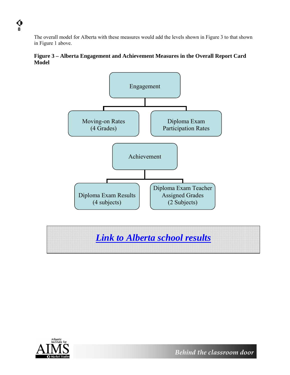The overall model for Alberta with these measures would add the levels shown in Figure 3 to that shown in Figure 1 above.









**8**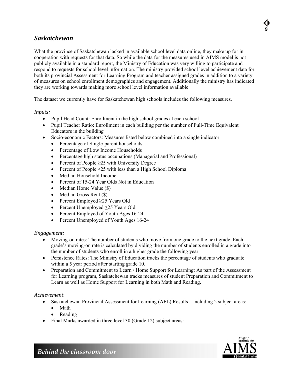What the province of Saskatchewan lacked in available school level data online, they make up for in cooperation with requests for that data. So while the data for the measures used in AIMS model is not publicly available in a standard report, the Ministry of Education was very willing to participate and respond to requests for school level information. The ministry provided school level achievement data for both its provincial Assessment for Learning Program and teacher assigned grades in addition to a variety of measures on school enrollment demographics and engagement. Additionally the ministry has indicated they are working towards making more school level information available.

The dataset we currently have for Saskatchewan high schools includes the following measures.

## *Inputs:*

- Pupil Head Count: Enrollment in the high school grades at each school
- Pupil Teacher Ratio: Enrollment in each building per the number of Full-Time Equivalent Educators in the building
- Socio-economic Factors: Measures listed below combined into a single indicator
	- Percentage of Single-parent households
	- Percentage of Low Income Households
	- Percentage high status occupations (Managerial and Professional)
	- Percent of People > 25 with University Degree
	- Percent of People  $\geq$ 25 with less than a High School Diploma
	- Median Household Income
	- Percent of 15-24 Year Olds Not in Education
	- Median Home Value (\$)
	- Median Gross Rent (\$)
	- Percent Employed ≥25 Years Old
	- Percent Unemployed ≥25 Years Old
	- Percent Employed of Youth Ages 16-24
	- Percent Unemployed of Youth Ages 16-24

## *Engagement:*

- Moving-on rates: The number of students who move from one grade to the next grade. Each grade's moving-on rate is calculated by dividing the number of students enrolled in a grade into the number of students who enroll in a higher grade the following year.
- Persistence Rates: The Ministry of Education tracks the percentage of students who graduate within a 5 year period after starting grade 10.
- Preparation and Commitment to Learn / Home Support for Learning: As part of the Assessment for Learning program, Saskatchewan tracks measures of student Preparation and Commitment to Learn as well as Home Support for Learning in both Math and Reading.

### *Achievement*:

- Saskatchewan Provincial Assessment for Learning (AFL) Results including 2 subject areas:
	- Math
	- Reading
- Final Marks awarded in three level 30 (Grade 12) subject areas:



**9**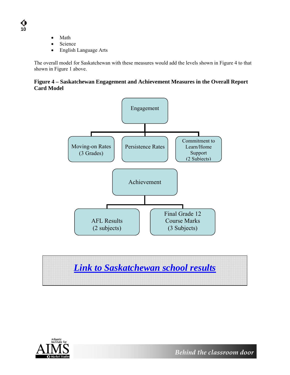- Math
- **Science**
- English Language Arts

The overall model for Saskatchewan with these measures would add the levels shown in Figure 4 to that shown in Figure 1 above.





*[Link to Saskatchewan school results](http://www.aims.ca/library/Sask.pdf)*

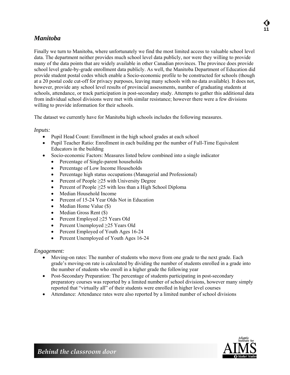## *Manitoba*

Finally we turn to Manitoba, where unfortunately we find the most limited access to valuable school level data. The department neither provides much school level data publicly, nor were they willing to provide many of the data points that are widely available in other Canadian provinces. The province does provide school level grade-by-grade enrollment data publicly. As well, the Manitoba Department of Education did provide student postal codes which enable a Socio-economic profile to be constructed for schools (though at a 20 postal code cut-off for privacy purposes, leaving many schools with no data available). It does not, however, provide any school level results of provincial assessments, number of graduating students at schools, attendance, or track participation in post-secondary study. Attempts to gather this additional data from individual school divisions were met with similar resistance; however there were a few divisions willing to provide information for their schools.

The dataset we currently have for Manitoba high schools includes the following measures.

## *Inputs:*

- Pupil Head Count: Enrollment in the high school grades at each school
- Pupil Teacher Ratio: Enrollment in each building per the number of Full-Time Equivalent Educators in the building
- Socio-economic Factors: Measures listed below combined into a single indicator
	- Percentage of Single-parent households
	- Percentage of Low Income Households
	- Percentage high status occupations (Managerial and Professional)
	- Percent of People  $\geq$ 25 with University Degree
	- Percent of People  $\geq$ 25 with less than a High School Diploma
	- Median Household Income
	- Percent of 15-24 Year Olds Not in Education
	- Median Home Value (\$)
	- Median Gross Rent (\$)
	- Percent Employed ≥25 Years Old
	- Percent Unemployed > 25 Years Old
	- Percent Employed of Youth Ages 16-24
	- Percent Unemployed of Youth Ages 16-24

### *Engagement:*

- Moving-on rates: The number of students who move from one grade to the next grade. Each grade's moving-on rate is calculated by dividing the number of students enrolled in a grade into the number of students who enroll in a higher grade the following year
- Post-Secondary Preparation: The percentage of students participating in post-secondary preparatory courses was reported by a limited number of school divisions, however many simply reported that "virtually all" of their students were enrolled in higher level courses
- Attendance: Attendance rates were also reported by a limited number of school divisions

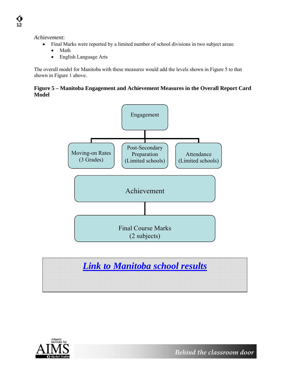*Achievement*:

- Final Marks were reported by a limited number of school divisions in two subject areas:
	- Math
	- English Language Arts

The overall model for Manitoba with these measures would add the levels shown in Figure 5 to that shown in Figure 1 above.

## **Figure 5 – Manitoba Engagement and Achievement Measures in the Overall Report Card Model**





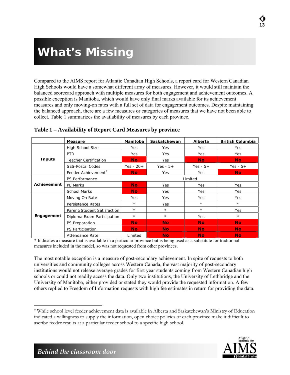## **What's Missing**

Compared to the AIMS report for Atlantic Canadian High Schools, a report card for Western Canadian High Schools would have a somewhat different array of measures. However, it would still maintain the balanced scorecard approach with multiple measures for both engagement and achievement outcomes. A possible exception is Manitoba, which would have only final marks available for its achievement measures and only moving-on rates with a full set of data for engagement outcomes. Despite maintaining the balanced approach, there are a few measures or categories of measures that we have not been able to collect. Table 1 summarizes the availability of measures by each province.

|             | <b>Measure</b>                  | Manitoba    | Saskatchewan | Alberta    | <b>British Columbia</b> |
|-------------|---------------------------------|-------------|--------------|------------|-------------------------|
| Inputs      | High School Size                | Yes         | Yes          | Yes        | Yes                     |
|             | <b>PTR</b>                      | Yes         | Yes          | Yes        | Yes                     |
|             | <b>Teacher Certification</b>    | <b>No</b>   | Yes          | No.        | <b>No</b>               |
|             | <b>SES-Postal Codes</b>         | Yes - $20+$ | Yes - $5+$   | Yes - $5+$ | Yes - $5+$              |
|             | Feeder Achievement <sup>2</sup> | No.         | Yes          | Yes        | No.                     |
|             | PS Performance                  | Limited     |              |            |                         |
| Achievement | <b>PE Marks</b>                 | <b>No</b>   | Yes          | Yes        | Yes                     |
|             | <b>School Marks</b>             | <b>No</b>   | Yes          | Yes        | Yes                     |
| Engagement  | Moving On Rate                  | Yes         | Yes          | Yes        | Yes                     |
|             | Persistence Rates               | $\star$     | Yes          | $\star$    | $\star$                 |
|             | Parent/Student Satisfaction     | $\star$     | $\star$      | $\star$    | Yes                     |
|             | Diploma Exam Participation      | $\star$     | $\star$      | Yes        | $\star$                 |
|             | PS Preparation                  | <b>No</b>   | No.          | <b>No</b>  | No.                     |
|             | PS Participation                | No.         | <b>No</b>    | No.        | <b>No</b>               |
|             | Attendance Rate                 | Limited     | <b>No</b>    | <b>No</b>  | <b>No</b>               |

## **Table 1 – Availability of Report Card Measures by province**

\* Indicates a measure that is available in a particular province but is being used as a substitute for traditional measures included in the model, so was not requested from other provinces.

The most notable exception is a measure of post-secondary achievement. In spite of requests to both universities and community colleges across Western Canada, the vast majority of post-secondary institutions would not release average grades for first year students coming from Western Canadian high schools or could not readily access the data. Only two institutions, the University of Lethbridge and the University of Manitoba, either provided or stated they would provide the requested information. A few others replied to Freedom of Information requests with high fee estimates in return for providing the data.

<span id="page-18-0"></span><sup>2</sup> While school level feeder achievement data is available in Alberta and Saskatchewan's Ministry of Education indicated a willingness to supply the information, open choice policies of each province make it difficult to ascribe feeder results at a particular feeder school to a specific high school.



 $\overline{a}$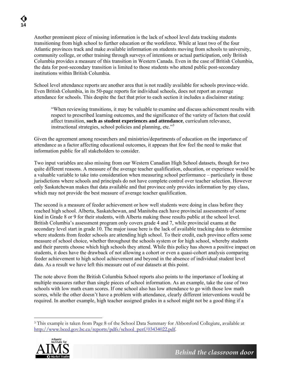Another prominent piece of missing information is the lack of school level data tracking students transitioning from high school to further education or the workforce. While at least two of the four Atlantic provinces track and make available information on students moving from schools to university, community college, or other training through surveys of intentions or actual participation, only British Columbia provides a measure of this transition in Western Canada. Even in the case of British Columbia, the data for post-secondary transition is limited to those students who attend public post-secondary institutions within British Columbia.

School level attendance reports are another area that is not readily available for schools province-wide. Even British Columbia, in its 50-page reports for individual schools, does not report an average attendance for schools. This despite the fact that prior to each section it includes a disclaimer stating:

"When reviewing transitions, it may be valuable to examine and discuss achievement results with respect to prescribed learning outcomes, and the significance of the variety of factors that could affect transition, **such as student experiences and attendance**, curriculum relevance, instructional strategies, school policies and planning, etc."[3](#page-19-0)

Given the agreement among researchers and ministries/departments of education on the importance of attendance as a factor affecting educational outcomes, it appears that few feel the need to make that information public for all stakeholders to consider.

Two input variables are also missing from our Western Canadian High School datasets, though for two quite different reasons. A measure of the average teacher qualification, education, or experience would be a valuable variable to take into consideration when measuring school performance – particularly in those jurisdictions where schools and principals do not have complete control over teacher selection. However only Saskatchewan makes that data available and that province only provides information by pay class, which may not provide the best measure of average teacher qualification.

The second is a measure of feeder achievement or how well students were doing in class before they reached high school. Alberta, Saskatchewan, and Manitoba each have provincial assessments of some kind in Grade 8 or 9 for their students, with Alberta making those results public at the school level. British Columbia's assessment program only covers grade 4 and 7, while provincial exams at the secondary level start in grade 10. The major issue here is the lack of available tracking data to determine where students from feeder schools are attending high school. To their credit, each province offers some measure of school choice, whether throughout the schools system or for high school, whereby students and their parents choose which high schools they attend. While this policy has shown a positive impact on students, it does have the drawback of not allowing a cohort or even a quasi-cohort analysis comparing feeder achievement to high school achievement and beyond in the absence of individual student level data. As a result we have left this measure out of our datasets at this point.

The note above from the British Columbia School reports also points to the importance of looking at multiple measures rather than single pieces of school information. As an example, take the case of two schools with low math exam scores. If one school also has low attendance to go with those low math scores, while the other doesn't have a problem with attendance, clearly different interventions would be required. In another example, high teacher assigned grades in a school might not be a good thing if a

<span id="page-19-0"></span><sup>3</sup> This example is taken from Page 8 of the School Data Summary for Abbotsford Collegiate, available at [http://www.bced.gov.bc.ca/reports/pdfs/school\\_perf/03434022.pdf](http://www.bced.gov.bc.ca/reports/pdfs/school_perf/03434022.pdf).



 $\overline{a}$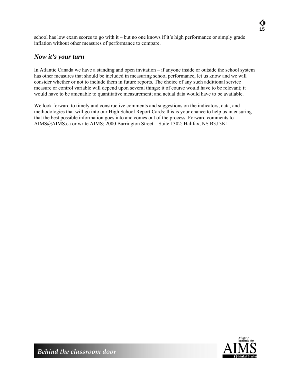school has low exam scores to go with it – but no one knows if it's high performance or simply grade inflation without other measures of performance to compare.

## *Now it's your turn*

In Atlantic Canada we have a standing and open invitation – if anyone inside or outside the school system has other measures that should be included in measuring school performance, let us know and we will consider whether or not to include them in future reports. The choice of any such additional service measure or control variable will depend upon several things: it of course would have to be relevant; it would have to be amenable to quantitative measurement; and actual data would have to be available.

We look forward to timely and constructive comments and suggestions on the indicators, data, and methodologies that will go into our High School Report Cards: this is your chance to help us in ensuring that the best possible information goes into and comes out of the process. Forward comments to AIMS@AIMS.ca or write AIMS; 2000 Barrington Street – Suite 1302; Halifax, NS B3J 3K1.

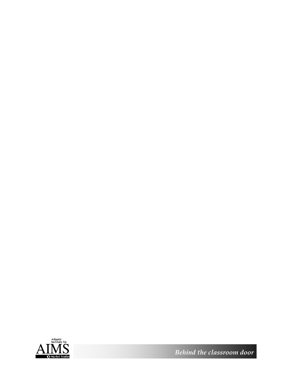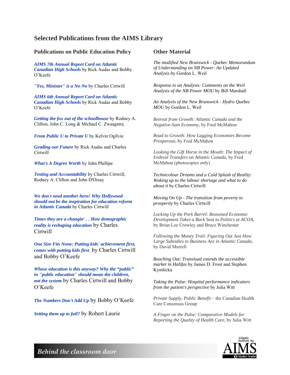## **Selected Publications from the AIMS Library**

### **Publications on Public Education Policy**

*[AIMS 7th Annual Report Card on Atlantic](http://www.aims.ca/education.asp?typeID=1&id=2574&fd=0&p=1)  [Canadian High Schools](http://www.aims.ca/education.asp?typeID=1&id=2574&fd=0&p=1)* by Rick Audas and Bobby O'Keefe

*["Yes, Minister" is a No-No](http://www.aims.ca/education.asp?typeID=1&id=2291&fd=0&p=1)* by Charles Cirtwill

*[AIMS 6th Annual Report Card on Atlantic](http://www.aims.ca/education.asp?typeID=1&id=2073&fd=0&p=1)  [Canadian High Schools](http://www.aims.ca/education.asp?typeID=1&id=2073&fd=0&p=1)* by Rick Audas and Bobby O'Keefe

*[Getting the fox out of the schoolhouse](http://www.aims.ca/education.asp?typeID=1&id=1862&fd=0&p=1)* by Rodney A. Clifton, John C. Long & Michael C. Zwaagstra.

*[From Public U to Private U](http://www.aims.ca/education.asp?typeID=1&id=1195&fd=0&p=1)* by Kelvin Ogilvie

*[Grading our Future](http://www.aims.ca/education.asp?typeID=1&id=133&fd=0&p=1)* by Rick Audas and Charles Cirtwill

*[What's A Degree Worth](http://www.aims.ca/education.asp?typeID=1&id=134&fd=0&p=1)* by John Phillipe

*[Testing and Accountability](http://www.aims.ca/education.asp?typeID=1&id=135&fd=0&p=1)* by Charles Cirtwill, Rodney A. Clifton and John D'Orsay

*[We don't need another hero! Why Hollywood](http://www.aims.ca/education.asp?typeID=3&id=2625&fd=0&p=1)  [should not be the inspiration for education reform](http://www.aims.ca/education.asp?typeID=3&id=2625&fd=0&p=1)  [in Atlantic Canada](http://www.aims.ca/education.asp?typeID=3&id=2625&fd=0&p=1)* by Charles Cirtwill

*[Times they are a changin' . . How demographic](http://www.aims.ca/education.asp?typeID=3&id=2473&fd=0&p=1)  [reality is reshaping education](http://www.aims.ca/education.asp?typeID=3&id=2473&fd=0&p=1)* by Charles Cirtwill

*[One Size Fits None: Putting kids' achievement first,](http://www.aims.ca/education.asp?typeID=3&id=2249&fd=0&p=1)  [comes with putting kids first](http://www.aims.ca/education.asp?typeID=3&id=2249&fd=0&p=1)* by Charles Cirtwill and Bobby O'Keefe

*[Whose education is this anyway? Why the "public"](http://www.aims.ca/education.asp?typeID=3&id=1941&fd=0&p=1)  [in "public education" should mean the children,](http://www.aims.ca/education.asp?typeID=3&id=1941&fd=0&p=1)  [not the system](http://www.aims.ca/education.asp?typeID=3&id=1941&fd=0&p=1)* by Charles Cirtwill and Bobby O'Keefe

*[The Numbers Don't Add Up](http://www.aims.ca/education.asp?typeID=3&id=1706&fd=0&p=1)* by Bobby O'Keefe

*[Setting them up to fail?](http://www.aims.ca/education.asp?typeID=3&id=1675&fd=0&p=1)* by Robert Laurie

### **Other Material**

*The modified New Brunswick - Quebec Memorandum of Understanding on NB Power: An Updated Analysis b*y Gordon L. Weil

*Response to an Analysis: Comments on the Weil Analysis of the NB Power MOU* by Bill Marshall

*An Analysis of the New Brunswick - Hydro Quebec MOU* by Gordon L. Weil

*Retreat from Growth: Atlantic Canada and the Negative-Sum Economy*, by Fred McMahon

*Road to Growth: How Lagging Economies Become Prosperous*, by Fred McMahon

*Looking the Gift Horse in the Mouth: The Impact of Federal Transfers on Atlantic Canada*, by Fred McMahon (photocopies only)

*Technicolour Dreams and a Cold Splash of Reality: Waking up to the labour shortage and what to do about it* by Charles Cirtwill

*Moving On Up - The transition from poverty to prosperity* by Charles Cirtwill

*Locking Up the Pork Barrel: Reasoned Economic Development Takes a Back Seat to Politics at ACOA,*  by Brian Lee Crowley and Bruce Winchester

*Following the Money Trail: Figuring Out Just How Large Subsidies to Business Are in Atlantic Canada*, by David Murrell

*Reaching Out: Transload extends the accessible market in Halifax* by James D. Frost and Stephen Kymlicka

*Taking the Pulse: Hospital performance indicators from the patient's perspective* by Julia Witt

*Private Supply, Public Benefit* – the Canadian Health Care Consensus Group

*A Finger on the Pulse: Comparative Models for Reporting the Quality of Health Care*, by Julia Witt